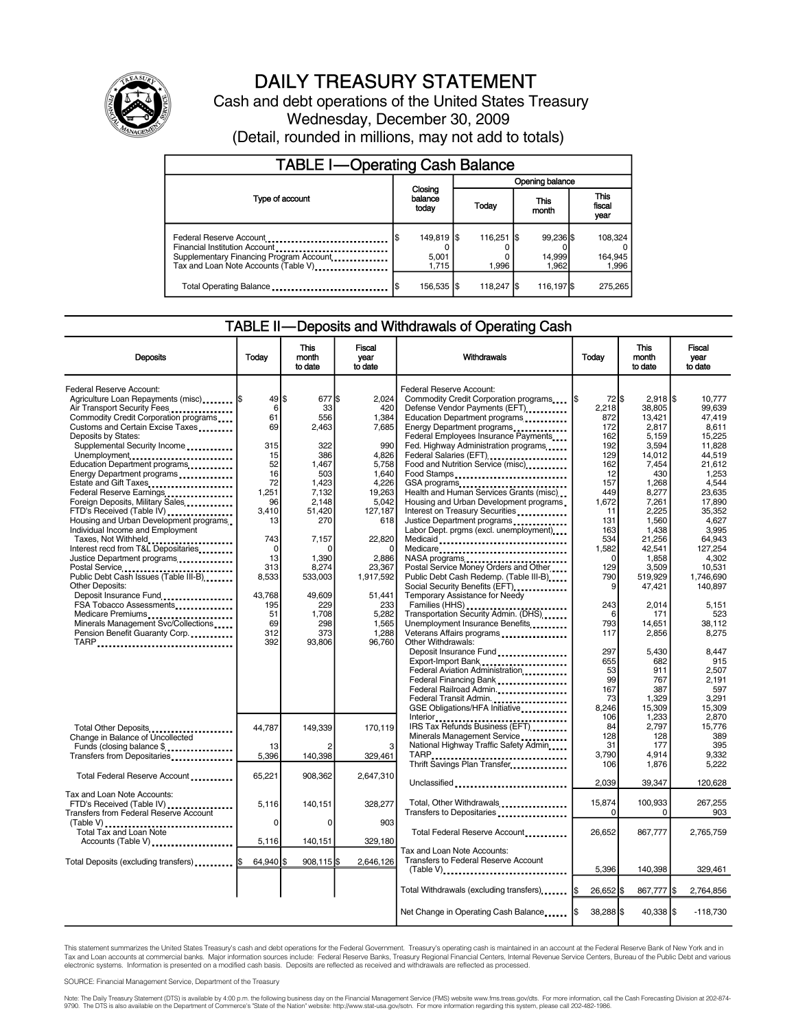

## DAILY TREASURY STATEMENT

Cash and debt operations of the United States Treasury Wednesday, December 30, 2009 (Detail, rounded in millions, may not add to totals)

| <b>TABLE I-Operating Cash Balance</b>                                                                                                       |                 |                                |  |                               |  |                              |  |                             |
|---------------------------------------------------------------------------------------------------------------------------------------------|-----------------|--------------------------------|--|-------------------------------|--|------------------------------|--|-----------------------------|
|                                                                                                                                             | Opening balance |                                |  |                               |  |                              |  |                             |
| Type of account                                                                                                                             |                 | Closing<br>balance<br>today    |  | Today                         |  | This<br>month                |  | This<br>fiscal<br>year      |
| Federal Reserve Account<br>Financial Institution Account<br>Supplementary Financing Program Account<br>Tax and Loan Note Accounts (Table V) |                 | 149,819   \$<br>5,001<br>1.715 |  | $116,251$ $\sqrt{3}$<br>1.996 |  | 99,236 \$<br>14,999<br>1.962 |  | 108,324<br>164,945<br>1,996 |
| Total Operating Balance                                                                                                                     |                 | 156,535  \$                    |  | 118,247 \$                    |  | 116,197 \$                   |  | 275,265                     |

#### TABLE II—Deposits and Withdrawals of Operating Cash

| <b>Deposits</b>                                                       | Today             | This<br>month  | <b>Fiscal</b><br>year | Withdrawals                                                                                                                                                                                                                         | Today            | <b>This</b><br>month          | Fiscal<br>year   |  |
|-----------------------------------------------------------------------|-------------------|----------------|-----------------------|-------------------------------------------------------------------------------------------------------------------------------------------------------------------------------------------------------------------------------------|------------------|-------------------------------|------------------|--|
|                                                                       |                   | to date        | to date               |                                                                                                                                                                                                                                     |                  | to date                       | to date          |  |
| Federal Reserve Account:                                              |                   |                |                       | Federal Reserve Account:                                                                                                                                                                                                            |                  |                               |                  |  |
| Agriculture Loan Repayments (misc)  \$<br>Air Transport Security Fees | 49 \$<br>6        | 677 \$<br>33   | 2,024<br>420          | Commodity Credit Corporation programs<br>Defense Vendor Payments (EFT)<br>                                                                                                                                                          | 2,218            | 72 \$<br>$2,918$ \$<br>38.805 | 10,777<br>99.639 |  |
| Commodity Credit Corporation programs                                 | 61                | 556            | 1.384                 | Education Department programs                                                                                                                                                                                                       | 872              | 13.421                        | 47.419           |  |
| Customs and Certain Excise Taxes                                      | 69                | 2.463          | 7,685                 | Energy Department programs                                                                                                                                                                                                          | 172              | 2.817                         | 8.611            |  |
| Deposits by States:                                                   |                   |                |                       | Federal Employees Insurance Payments                                                                                                                                                                                                | 162              | 5,159                         | 15,225           |  |
| Supplemental Security Income                                          | 315               | 322            | 990                   | Fed. Highway Administration programs                                                                                                                                                                                                | 192              | 3,594                         | 11.828           |  |
| Unemployment                                                          | 15                | 386            | 4,826                 | Federal Salaries (EFT) <b>[19]</b> Federal Salaries (EFT)                                                                                                                                                                           | 129              | 14,012                        | 44.519           |  |
| Education Department programs                                         | 52                | 1,467          | 5,758                 | Food and Nutrition Service (misc).                                                                                                                                                                                                  | 162              | 7,454                         | 21,612           |  |
| Energy Department programs                                            | 16<br>72          | 503<br>1,423   | 1.640<br>4,226        | Food Stamps<br>GSA programs                                                                                                                                                                                                         | 12<br>157        | 430<br>1,268                  | 1,253<br>4,544   |  |
| Estate and Gift Taxes<br>Federal Reserve Earnings                     | 1.251             | 7.132          | 19,263                | Health and Human Services Grants (misc)                                                                                                                                                                                             | 449              | 8,277                         | 23.635           |  |
| Foreign Deposits, Military Sales                                      | 96                | 2.148          | 5.042                 | Housing and Urban Development programs                                                                                                                                                                                              | 1.672            | 7,261                         | 17.890           |  |
| FTD's Received (Table IV)                                             | 3,410             | 51,420         | 127,187               | Interest on Treasury Securities                                                                                                                                                                                                     | 11               | 2,225                         | 35,352           |  |
| Housing and Urban Development programs                                | 13                | 270            | 618                   | Justice Department programs                                                                                                                                                                                                         | 131              | 1,560                         | 4,627            |  |
| Individual Income and Employment                                      |                   |                |                       | Labor Dept. prgms (excl. unemployment)                                                                                                                                                                                              | 163              | 1,438                         | 3.995            |  |
| Taxes, Not Withheld                                                   | 743               | 7,157          | 22,820                | Medicaid                                                                                                                                                                                                                            | 534              | 21,256                        | 64.943           |  |
| Interest recd from T&L Depositaries                                   | $\mathbf 0$<br>13 | O              | $\Omega$              | Medicare                                                                                                                                                                                                                            | 1,582            | 42,541                        | 127,254          |  |
| Justice Department programs                                           | 313               | 1,390<br>8,274 | 2,886<br>23,367       | NASA programs<br>Postal Service Money Orders and Other                                                                                                                                                                              | 129              | $\Omega$<br>1,858<br>3,509    | 4.302<br>10,531  |  |
| Postal Service<br>Public Debt Cash Issues (Table III-B)               | 8,533             | 533,003        | 1,917,592             | Public Debt Cash Redemp. (Table III-B)                                                                                                                                                                                              | 790              | 519,929                       | 1.746.690        |  |
| <b>Other Deposits:</b>                                                |                   |                |                       | Social Security Benefits (EFT)                                                                                                                                                                                                      |                  | 9<br>47,421                   | 140,897          |  |
| Deposit Insurance Fund                                                | 43,768            | 49,609         | 51,441                | Temporary Assistance for Needy                                                                                                                                                                                                      |                  |                               |                  |  |
| FSA Tobacco Assessments                                               | 195               | 229            | 233                   | Families (HHS) <b>contained</b> and the contact of the contact of the contact of the contact of the contact of the contact of the contact of the contact of the contact of the contact of the contact of the contact of the contact | 243              | 2,014                         | 5,151            |  |
| Medicare Premiums                                                     | 51                | 1,708          | 5.282                 | Transportation Security Admin. (DHS)                                                                                                                                                                                                |                  | 6<br>171                      | 523              |  |
| Minerals Management Svc/Collections                                   | 69                | 298            | 1.565                 | Unemployment Insurance Benefits                                                                                                                                                                                                     | 793              | 14.651                        | 38.112           |  |
| Pension Benefit Guaranty Corp.                                        | 312<br>392        | 373            | 1,288                 | Veterans Affairs programs                                                                                                                                                                                                           | 117              | 2,856                         | 8,275            |  |
| TARP                                                                  |                   | 93,806         | 96,760                | Other Withdrawals:<br>Deposit Insurance Fund                                                                                                                                                                                        | 297              | 5,430                         | 8.447            |  |
|                                                                       |                   |                |                       | Export-Import Bank                                                                                                                                                                                                                  | 655              | 682                           | 915              |  |
|                                                                       |                   |                |                       | Federal Aviation Administration                                                                                                                                                                                                     | 53               | 911                           | 2.507            |  |
|                                                                       |                   |                |                       | Federal Financing Bank<br>1991, 1992, 1992, 1993, 1994, 1995, 1996, 1997, 1998, 1999, 1999, 1999, 1999, 1999, 1999, 1999, 1999, 1999, 1999, 1999, 1999, 1999, 1999, 1999, 1999, 1999, 1999, 1999, 1999, 1999, 1999, 1999, 1999,     | 99               | 767                           | 2.191            |  |
|                                                                       |                   |                |                       | Federal Railroad Admin.                                                                                                                                                                                                             | 167              | 387                           | 597              |  |
|                                                                       |                   |                |                       | Federal Transit Admin                                                                                                                                                                                                               | 73               | 1,329                         | 3.291            |  |
|                                                                       |                   |                |                       | GSE Obligations/HFA Initiative                                                                                                                                                                                                      | 8,246            | 15,309                        | 15.309           |  |
|                                                                       |                   |                |                       | Interior                                                                                                                                                                                                                            | 106<br>84        | 1,233                         | 2,870            |  |
| Total Other Deposits<br>Change in Balance of Uncollected              | 44.787            | 149.339        | 170,119               | IRS Tax Refunds Business (EFT)<br>Minerals Management Service                                                                                                                                                                       | 128              | 2,797<br>128                  | 15,776<br>389    |  |
| Funds (closing balance \$                                             | 13                |                | 3                     | National Highway Traffic Safety Admin                                                                                                                                                                                               | 31               | 177                           | 395              |  |
| Transfers from Depositaries                                           | 5,396             | 140,398        | 329,461               |                                                                                                                                                                                                                                     | 3,790            | 4,914                         | 9,332            |  |
|                                                                       |                   |                |                       | Thrift Savings Plan Transfer                                                                                                                                                                                                        | 106              | 1,876                         | 5,222            |  |
| Total Federal Reserve Account                                         | 65,221            | 908,362        | 2,647,310             |                                                                                                                                                                                                                                     |                  |                               |                  |  |
|                                                                       |                   |                |                       | Unclassified                                                                                                                                                                                                                        | 2,039            | 39,347                        | 120,628          |  |
| Tax and Loan Note Accounts:                                           |                   |                |                       |                                                                                                                                                                                                                                     |                  |                               |                  |  |
| FTD's Received (Table IV)                                             | 5,116             | 140,151        | 328,277               | Total, Other Withdrawals                                                                                                                                                                                                            | 15,874           | 100,933                       | 267,255          |  |
| <b>Transfers from Federal Reserve Account</b>                         | 0                 | 0              | 903                   | Transfers to Depositaries                                                                                                                                                                                                           |                  | 0<br>0                        | 903              |  |
| Total Tax and Loan Note                                               |                   |                |                       | Total Federal Reserve Account                                                                                                                                                                                                       | 26.652           | 867,777                       | 2,765,759        |  |
| Accounts (Table V)                                                    | 5,116             | 140,151        | 329,180               |                                                                                                                                                                                                                                     |                  |                               |                  |  |
|                                                                       |                   |                |                       | Tax and Loan Note Accounts:                                                                                                                                                                                                         |                  |                               |                  |  |
| Total Deposits (excluding transfers)  \$                              | $64,940$ \$       | 908,115 \$     | 2,646,126             | Transfers to Federal Reserve Account                                                                                                                                                                                                |                  |                               |                  |  |
|                                                                       |                   |                |                       | (Table V)                                                                                                                                                                                                                           | 5,396            | 140,398                       | 329,461          |  |
|                                                                       |                   |                |                       |                                                                                                                                                                                                                                     |                  |                               |                  |  |
|                                                                       |                   |                |                       | Total Withdrawals (excluding transfers)                                                                                                                                                                                             | 1\$<br>26,652 \$ | 867,777 \$                    | 2,764,856        |  |
|                                                                       |                   |                |                       |                                                                                                                                                                                                                                     |                  |                               |                  |  |
|                                                                       |                   |                |                       | Net Change in Operating Cash Balance                                                                                                                                                                                                | 38,288 \$        | 40,338 \$                     | $-118,730$       |  |

This statement summarizes the United States Treasury's cash and debt operations for the Federal Government. Treasury's operating cash is maintained in an account at the Federal Reserve Bank of New York and in Tax and Loan accounts at commercial banks. Major information sources include: Federal Reserve Banks, Treasury Regional Financial Centers, Internal Revenue Service Centers, Bureau of the Public Debt and various<br>electronic s

SOURCE: Financial Management Service, Department of the Treasury

Note: The Daily Treasury Statement (DTS) is available by 4:00 p.m. the following business day on the Financial Management Service (FMS) website www.fms.treas.gov/dts. For more information, call the Cash Forecasting Divisio